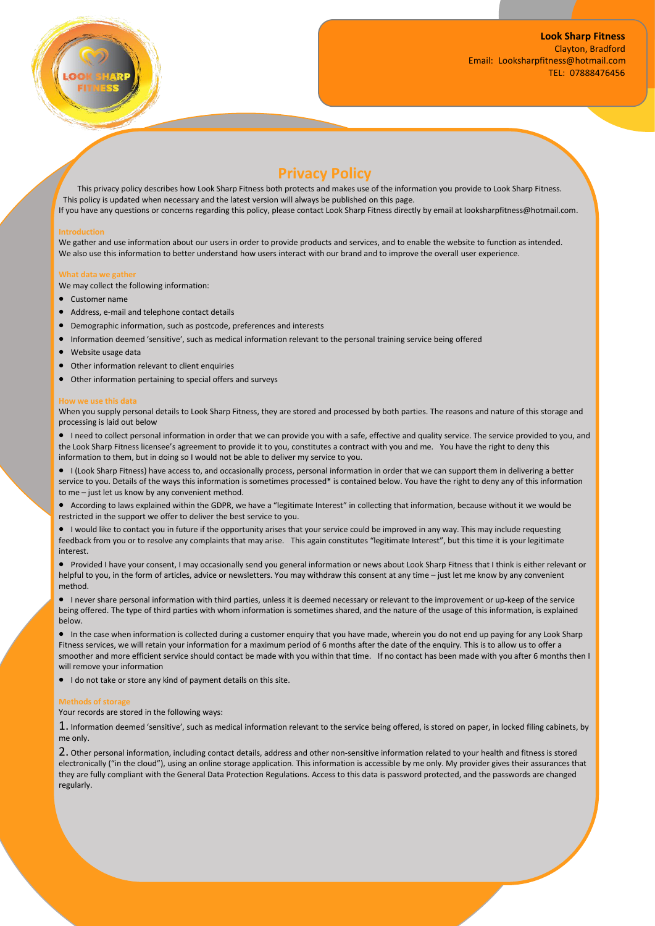

# **Privacy Policy**

This privacy policy describes how Look Sharp Fitness both protects and makes use of the information you provide to Look Sharp Fitness. This policy is updated when necessary and the latest version will always be published on this page. If you have any questions or concerns regarding this policy, please contact Look Sharp Fitness directly by email at looksharpfitness@hotmail.com.

# **Introduction**

We gather and use information about our users in order to provide products and services, and to enable the website to function as intended.<br>We also use this information to better understand how users interact with our bran

# **What data we gather**

We may collect the following information:

- Customer name
- Address, e-mail and telephone contact details
- Demographic information, such as postcode, preferences and interests
- Information deemed 'sensitive', such as medical information relevant to the personal training service being offered
- Website usage data
- Other information relevant to client enquiries
- Other information pertaining to special offers and surveys

#### **We use this data**

When you supply personal details to Look Sharp Fitness, they are stored and processed by both parties. The reasons and nature of this storage and processing is laid out below

 I need to collect personal information in order that we can provide you with a safe, effective and quality service. The service provided to you, and the Look Sharp Fitness licensee's agreement to provide it to you, constitutes a contract with you and me. You have the right to deny this information to them, but in doing so I would not be able to deliver my service to you.

 I (Look Sharp Fitness) have access to, and occasionally process, personal information in orderthat we can support them in delivering a better service to you. Details of the ways this information is sometimes processed\* is contained below. You have the right to deny any of this information to me – just let us know by any convenient method.

 According to laws explained within the GDPR, we have a "legitimate Interest" in collecting that information, because without it we would be restricted in the support we offer to deliver the best service to you.

 I would like to contact you in future if the opportunity arises that your service could be improved in any way. This may include requesting feedback from you or to resolve any complaints that may arise. This again constitutes "legitimate Interest", but this time it is your legitimate interest.

 Provided I have your consent, I may occasionally send you general information or news about Look Sharp Fitness that I think is either relevant or helpful to you, in the form of articles, advice or newsletters. You may withdraw this consent at any time – just let me know by any convenient method.

 I never share personal information with third parties, unless it is deemed necessary or relevant to the improvement or up-keep of the service being offered. The type of third parties with whom information is sometimes shared, and the nature of the usage ofthis information, is explained below.

 In the case when information is collected during a customer enquiry that you have made, wherein you do not end up paying for any Look Sharp Fitness services, we will retain your information for a maximum period of 6 months after the date of the enquiry. This is to allow us to offer a smoother and more efficient service should contact be made with you within that time. If no contact has been made with you after 6 months then I will remove your information

 $\bullet$  I do not take or store any kind of payment details on this site.

# **Methods of storage**

Your records are stored in the following ways:

1. Information deemed 'sensitive', such as medical information relevant to the service being offered, is stored on paper, in locked filing cabinets, by me only.

2. Other personal information, including contact details, address and other non-sensitive information related to your health and fitness is stored electronically ("in the cloud"), using an online storage application. This information is accessible by me only. My provider gives their assurances that they are fully compliant with the General Data Protection Regulations. Access to this data is password protected, and the passwords are changed regularly.